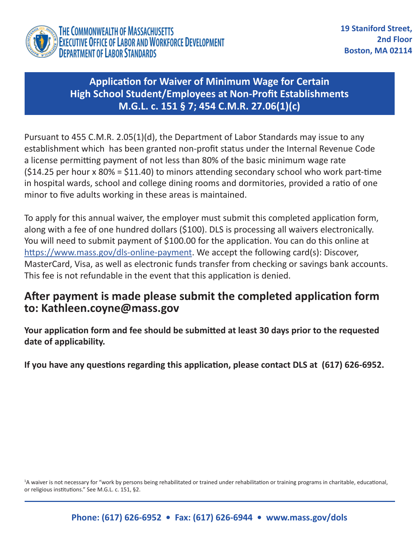

## **Application for Waiver of Minimum Wage for Certain High School Student/Employees at Non-Profit Establishments M.G.L. c. 151 § 7; 454 C.M.R. 27.06(1)(c)**

Pursuant to 455 C.M.R. 2.05(1)(d), the Department of Labor Standards may issue to any establishment which has been granted non-profit status under the Internal Revenue Code a license permitting payment of not less than 80% of the basic minimum wage rate  $(S14.25$  per hour x 80% = \$11.40) to minors attending secondary school who work part-time in hospital wards, school and college dining rooms and dormitories, provided a ratio of one minor to five adults working in these areas is maintained.

To apply for this annual waiver, the employer must submit this completed application form, along with a fee of one hundred dollars (\$100). DLS is processing all waivers electronically. You will need to submit payment of \$100.00 for the application. You can do this online at [https://www.mass.gov/dls-online-payment.](https://www.mass.gov/dls-online-payment) We accept the following card(s): Discover, MasterCard, Visa, as well as electronic funds transfer from checking or savings bank accounts. This fee is not refundable in the event that this application is denied.

## **After payment is made please submit the completed application form to: Kathleen.coyne@mass.gov**

**Your application form and fee should be submitted at least 30 days prior to the requested date of applicability.**

**If you have any questions regarding this application, please contact DLS at (617) 626-6952.**

<sup>1</sup>A waiver is not necessary for "work by persons being rehabilitated or trained under rehabilitation or training programs in charitable, educational, or religious institutions." See M.G.L. c. 151, §2.